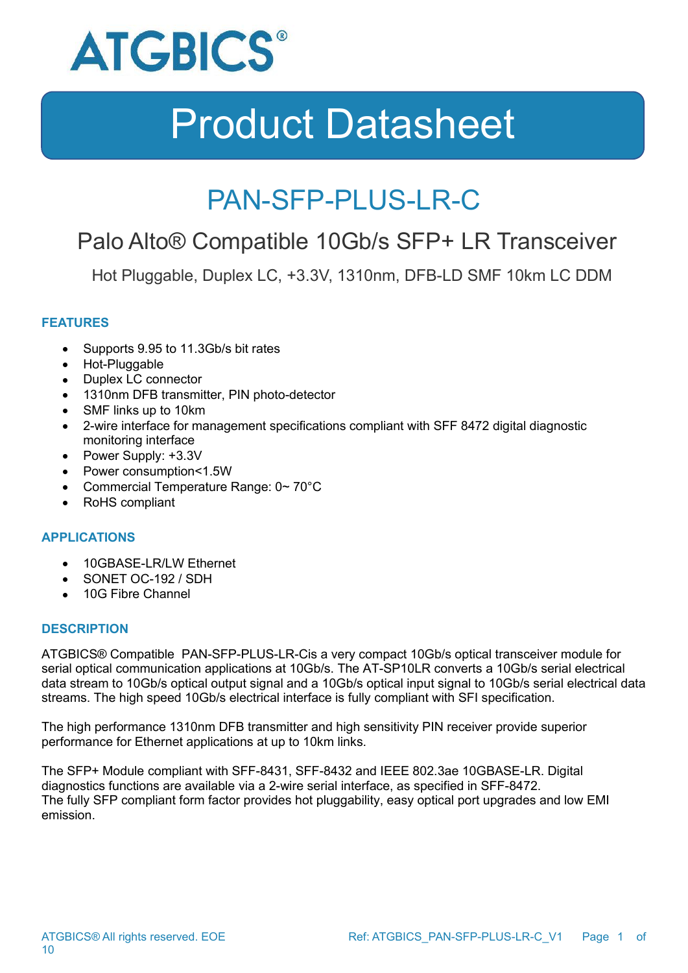

### PAN-SFP-PLUS-LR-C

### Palo Alto® Compatible 10Gb/s SFP+ LR Transceiver

Hot Pluggable, Duplex LC, +3.3V, 1310nm, DFB-LD SMF 10km LC DDM

### **FEATURES**

- Supports 9.95 to 11.3Gb/s bit rates
- Hot-Pluggable
- Duplex LC connector
- 1310nm DFB transmitter, PIN photo-detector
- SMF links up to 10km
- 2-wire interface for management specifications compliant with SFF 8472 digital diagnostic monitoring interface
- Power Supply: +3.3V
- Power consumption<1.5W
- Commercial Temperature Range: 0~70°C
- RoHS compliant

#### **APPLICATIONS**

- 10GBASE-LR/LW Ethernet
- SONET OC-192 / SDH
- 10G Fibre Channel

#### **DESCRIPTION**

ATGBICS® Compatible PAN-SFP-PLUS-LR-Cis a very compact 10Gb/s optical transceiver module for serial optical communication applications at 10Gb/s. The AT-SP10LR converts a 10Gb/s serial electrical data stream to 10Gb/s optical output signal and a 10Gb/s optical input signal to 10Gb/s serial electrical data streams. The high speed 10Gb/s electrical interface is fully compliant with SFI specification.

The high performance 1310nm DFB transmitter and high sensitivity PIN receiver provide superior performance for Ethernet applications at up to 10km links.

The SFP+ Module compliant with SFF-8431, SFF-8432 and IEEE 802.3ae 10GBASE-LR. Digital diagnostics functions are available via a 2-wire serial interface, as specified in SFF-8472. The fully SFP compliant form factor provides hot pluggability, easy optical port upgrades and low EMI emission.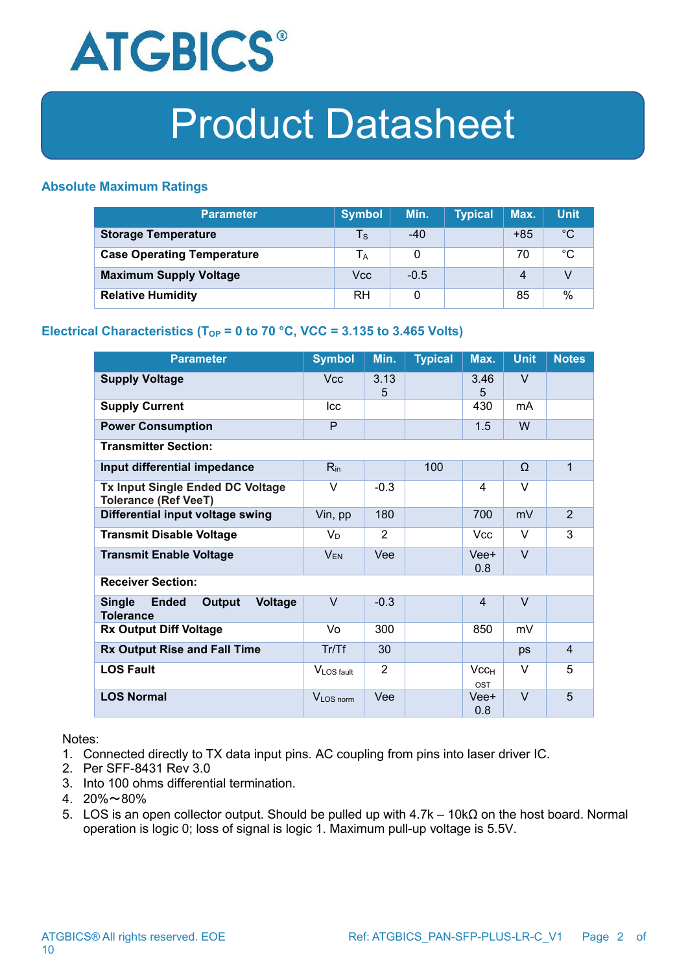

#### **Absolute Maximum Ratings**

| <b>Parameter</b>                  | <b>Symbol</b>           | Min.   | <b>Typical</b> | Max.  | <b>Unit</b>  |
|-----------------------------------|-------------------------|--------|----------------|-------|--------------|
| <b>Storage Temperature</b>        | $\mathsf T_{\mathsf S}$ | -40    |                | $+85$ | $^{\circ}C$  |
| <b>Case Operating Temperature</b> | IA                      |        |                | 70    | $^{\circ}$ C |
| <b>Maximum Supply Voltage</b>     | Vcc                     | $-0.5$ |                | 4     |              |
| <b>Relative Humidity</b>          | RH                      |        |                | 85    | %            |

### **Electrical Characteristics** ( $T_{OP}$  = 0 to 70 °C, VCC = 3.135 to 3.465 Volts)

| <b>Parameter</b>                                                              | <b>Symbol</b>  | Min.           | <b>Typical</b> | Max.                           | <b>Unit</b>       | <b>Notes</b>   |
|-------------------------------------------------------------------------------|----------------|----------------|----------------|--------------------------------|-------------------|----------------|
| <b>Supply Voltage</b>                                                         | <b>Vcc</b>     | 3.13<br>5      |                | 3.46<br>5                      | V                 |                |
| <b>Supply Current</b>                                                         | <b>Icc</b>     |                |                | 430                            | mA                |                |
| <b>Power Consumption</b>                                                      | P              |                |                | 1.5                            | W                 |                |
| <b>Transmitter Section:</b>                                                   |                |                |                |                                |                   |                |
| Input differential impedance                                                  | $R_{in}$       |                | 100            |                                | $\Omega$          | $\mathbf{1}$   |
| Tx Input Single Ended DC Voltage<br><b>Tolerance (Ref VeeT)</b>               | $\vee$         | $-0.3$         |                | 4                              | $\vee$            |                |
| Differential input voltage swing                                              | Vin, pp        | 180            |                | 700                            | mV                | $\overline{2}$ |
| <b>Transmit Disable Voltage</b>                                               | V <sub>D</sub> | $\overline{2}$ |                | Vcc                            | $\vee$            | 3              |
| <b>Transmit Enable Voltage</b>                                                | $V_{EN}$       | Vee            |                | Vee+<br>0.8                    | $\overline{\vee}$ |                |
| <b>Receiver Section:</b>                                                      |                |                |                |                                |                   |                |
| <b>Single</b><br><b>Voltage</b><br><b>Ended</b><br>Output<br><b>Tolerance</b> | $\vee$         | $-0.3$         |                | 4                              | $\vee$            |                |
| <b>Rx Output Diff Voltage</b>                                                 | Vo             | 300            |                | 850                            | mV                |                |
| <b>Rx Output Rise and Fall Time</b>                                           | Tr/Tf          | 30             |                |                                | ps                | 4              |
| <b>LOS Fault</b>                                                              | VLOS fault     | $\overline{2}$ |                | Vcc <sub>H</sub><br><b>OST</b> | $\vee$            | 5              |
| <b>LOS Normal</b>                                                             | VLOS norm      | Vee            |                | Vee+<br>0.8                    | $\vee$            | 5              |

Notes:

- 1. Connected directly to TX data input pins. AC coupling from pins into laser driver IC.
- 2. Per SFF-8431 Rev 3.0
- 3. Into 100 ohms differential termination.
- 4.  $20\% \sim 80\%$
- 5. LOS is an open collector output. Should be pulled up with 4.7k 10kΩ on the host board. Normal operation is logic 0; loss of signal is logic 1. Maximum pull-up voltage is 5.5V.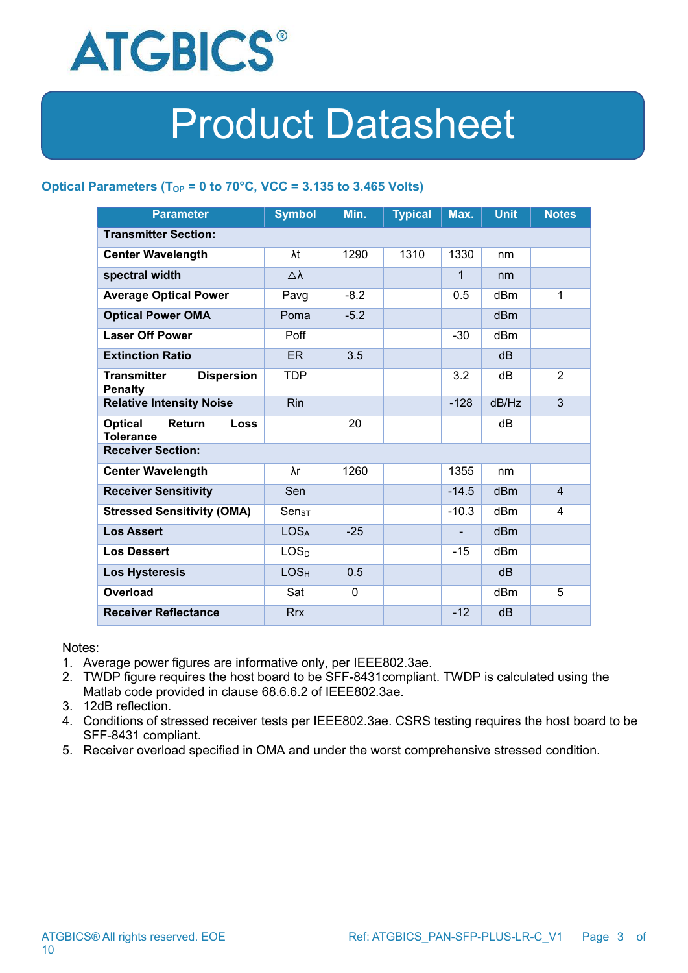

### **Optical Parameters (TOP = 0 to 70°C, VCC = 3.135 to 3.465 Volts)**

| <b>Parameter</b>                                            | <b>Symbol</b>      | Min.        | <b>Typical</b> | Max.         | <b>Unit</b>     | <b>Notes</b>   |  |
|-------------------------------------------------------------|--------------------|-------------|----------------|--------------|-----------------|----------------|--|
| <b>Transmitter Section:</b>                                 |                    |             |                |              |                 |                |  |
| <b>Center Wavelength</b>                                    | λt                 | 1290        | 1310           | 1330         | nm              |                |  |
| spectral width                                              | $\triangle\lambda$ |             |                | $\mathbf{1}$ | nm              |                |  |
| <b>Average Optical Power</b>                                | Pavg               | $-8.2$      |                | 0.5          | dBm             | 1              |  |
| <b>Optical Power OMA</b>                                    | Poma               | $-5.2$      |                |              | dBm             |                |  |
| <b>Laser Off Power</b>                                      | Poff               |             |                | $-30$        | dBm             |                |  |
| <b>Extinction Ratio</b>                                     | ER                 | 3.5         |                |              | dB              |                |  |
| <b>Transmitter</b><br><b>Dispersion</b><br><b>Penalty</b>   | <b>TDP</b>         |             |                | 3.2          | dB              | $\overline{2}$ |  |
| <b>Relative Intensity Noise</b>                             | <b>Rin</b>         |             |                | $-128$       | dB/Hz           | $\mathfrak{S}$ |  |
| <b>Optical</b><br>Return<br><b>Loss</b><br><b>Tolerance</b> |                    | 20          |                |              | dB              |                |  |
| <b>Receiver Section:</b>                                    |                    |             |                |              |                 |                |  |
| <b>Center Wavelength</b>                                    | λr                 | 1260        |                | 1355         | nm              |                |  |
| <b>Receiver Sensitivity</b>                                 | Sen                |             |                | $-14.5$      | dB <sub>m</sub> | $\overline{4}$ |  |
| <b>Stressed Sensitivity (OMA)</b>                           | Sen <sub>ST</sub>  |             |                | $-10.3$      | dBm             | 4              |  |
| <b>Los Assert</b>                                           | LOS <sub>A</sub>   | $-25$       |                |              | dBm             |                |  |
| <b>Los Dessert</b>                                          | LOS <sub>D</sub>   |             |                | $-15$        | dBm             |                |  |
| <b>Los Hysteresis</b>                                       | LOS <sub>H</sub>   | 0.5         |                |              | dB              |                |  |
| <b>Overload</b>                                             | Sat                | $\mathbf 0$ |                |              | dBm             | 5              |  |
| <b>Receiver Reflectance</b>                                 | <b>Rrx</b>         |             |                | $-12$        | dB              |                |  |

Notes:

- 1. Average power figures are informative only, per IEEE802.3ae.
- 2. TWDP figure requires the host board to be SFF-8431compliant. TWDP is calculated using the Matlab code provided in clause 68.6.6.2 of IEEE802.3ae.
- 3. 12dB reflection.
- 4. Conditions of stressed receiver tests per IEEE802.3ae. CSRS testing requires the host board to be SFF-8431 compliant.
- 5. Receiver overload specified in OMA and under the worst comprehensive stressed condition.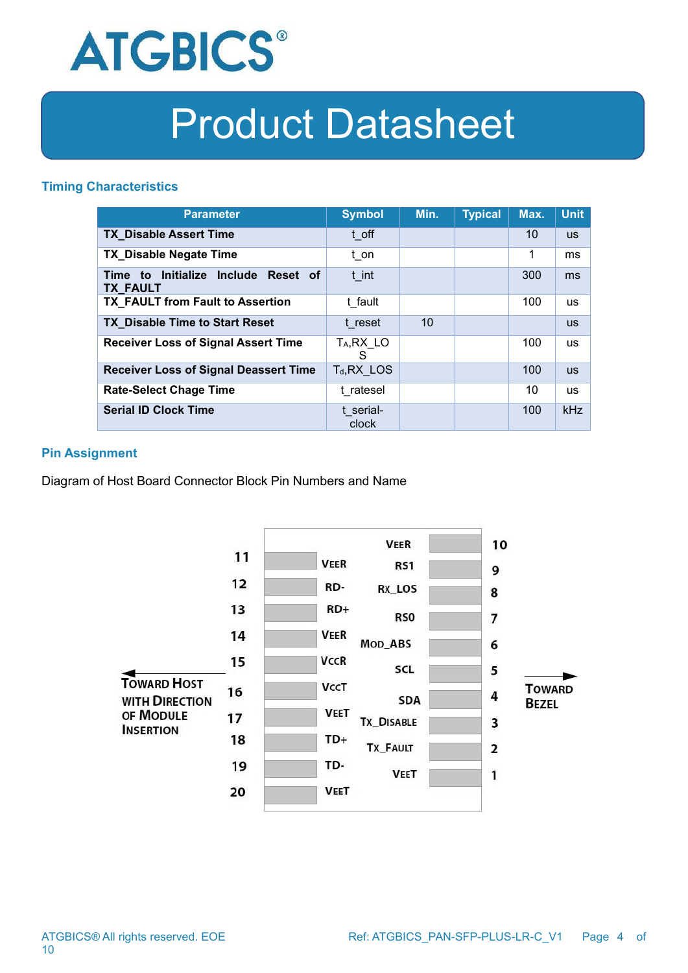

#### **Timing Characteristics**

| <b>Parameter</b>                                       | <b>Symbol</b>                | Min. | <b>Typical</b> | Max. | <b>Unit</b> |
|--------------------------------------------------------|------------------------------|------|----------------|------|-------------|
| <b>TX Disable Assert Time</b>                          | t off                        |      |                | 10   | <b>us</b>   |
| <b>TX_Disable Negate Time</b>                          | t on                         |      |                | 1    | ms          |
| Time to Initialize Include Reset of<br><b>TX_FAULT</b> | t int                        |      |                | 300  | ms          |
| TX FAULT from Fault to Assertion                       | t fault                      |      |                | 100  | <b>us</b>   |
| <b>TX_Disable Time to Start Reset</b>                  | t reset                      | 10   |                |      | <b>us</b>   |
| <b>Receiver Loss of Signal Assert Time</b>             | T <sub>A</sub> , RX_LO<br>S. |      |                | 100  | <b>us</b>   |
| <b>Receiver Loss of Signal Deassert Time</b>           | $T_d, RX$ LOS                |      |                | 100  | <b>us</b>   |
| <b>Rate-Select Chage Time</b>                          | t ratesel                    |      |                | 10   | <b>us</b>   |
| <b>Serial ID Clock Time</b>                            | t serial-<br>clock           |      |                | 100  | kHz         |

### **Pin Assignment**

Diagram of Host Board Connector Block Pin Numbers and Name

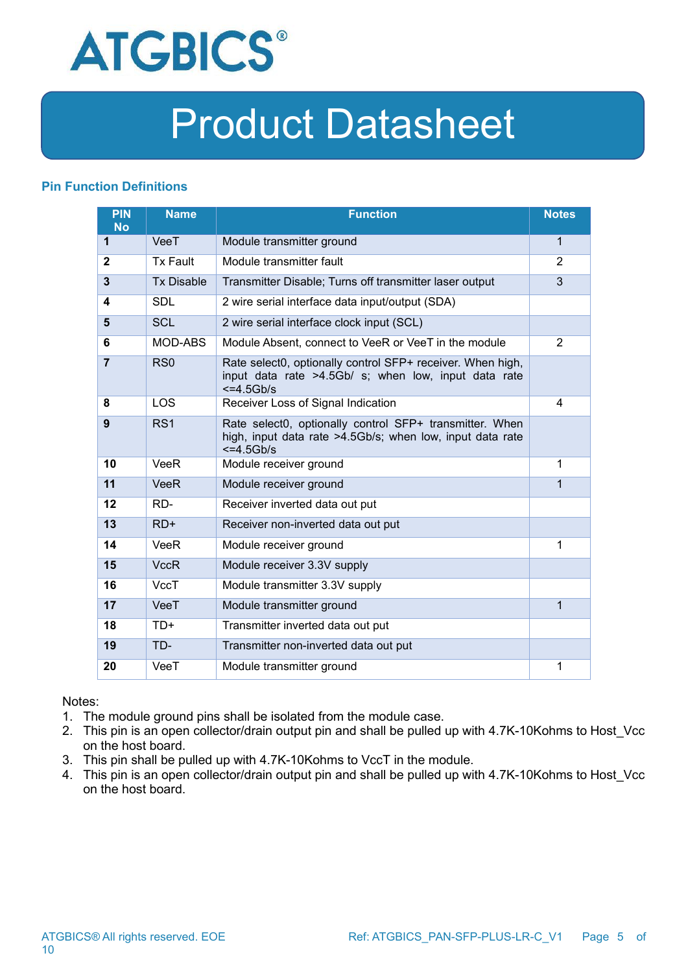

### **Pin Function Definitions**

| <b>PIN</b><br><b>No</b> | <b>Name</b>       | <b>Function</b>                                                                                                                     | <b>Notes</b>   |
|-------------------------|-------------------|-------------------------------------------------------------------------------------------------------------------------------------|----------------|
| 1                       | VeeT              | Module transmitter ground                                                                                                           | $\mathbf{1}$   |
| $\mathbf{2}$            | <b>Tx Fault</b>   | Module transmitter fault                                                                                                            | $\overline{2}$ |
| 3                       | <b>Tx Disable</b> | Transmitter Disable; Turns off transmitter laser output                                                                             | 3              |
| 4                       | <b>SDL</b>        | 2 wire serial interface data input/output (SDA)                                                                                     |                |
| 5                       | <b>SCL</b>        | 2 wire serial interface clock input (SCL)                                                                                           |                |
| 6                       | MOD-ABS           | Module Absent, connect to VeeR or VeeT in the module                                                                                | 2              |
| $\overline{7}$          | RS <sub>0</sub>   | Rate select0, optionally control SFP+ receiver. When high,<br>input data rate >4.5Gb/ s; when low, input data rate<br>$<=4.5Gb/s$   |                |
| 8                       | <b>LOS</b>        | Receiver Loss of Signal Indication                                                                                                  | 4              |
| 9                       | RS <sub>1</sub>   | Rate select0, optionally control SFP+ transmitter. When<br>high, input data rate >4.5Gb/s; when low, input data rate<br>$<=4.5Gb/s$ |                |
| 10                      | <b>VeeR</b>       | Module receiver ground                                                                                                              | 1              |
| 11                      | <b>VeeR</b>       | Module receiver ground                                                                                                              | $\mathbf 1$    |
| 12                      | RD-               | Receiver inverted data out put                                                                                                      |                |
| 13                      | $RD+$             | Receiver non-inverted data out put                                                                                                  |                |
| 14                      | VeeR              | Module receiver ground                                                                                                              | 1              |
| 15                      | <b>VccR</b>       | Module receiver 3.3V supply                                                                                                         |                |
| 16                      | <b>VccT</b>       | Module transmitter 3.3V supply                                                                                                      |                |
| 17                      | VeeT              | Module transmitter ground                                                                                                           | 1              |
| 18                      | $TD+$             | Transmitter inverted data out put                                                                                                   |                |
| 19                      | TD-               | Transmitter non-inverted data out put                                                                                               |                |
| 20                      | VeeT              | Module transmitter ground                                                                                                           | 1              |

Notes:

- 1. The module ground pins shall be isolated from the module case.
- 2. This pin is an open collector/drain output pin and shall be pulled up with 4.7K-10Kohms to Host\_Vcc on the host board.<br>3. This pin shall be pulled up with 4.7K-10Kohms to VccT in the module.
- 
- 4. This pin is an open collector/drain output pin and shall be pulled up with 4.7K-10Kohms to Host Vcc on the host board.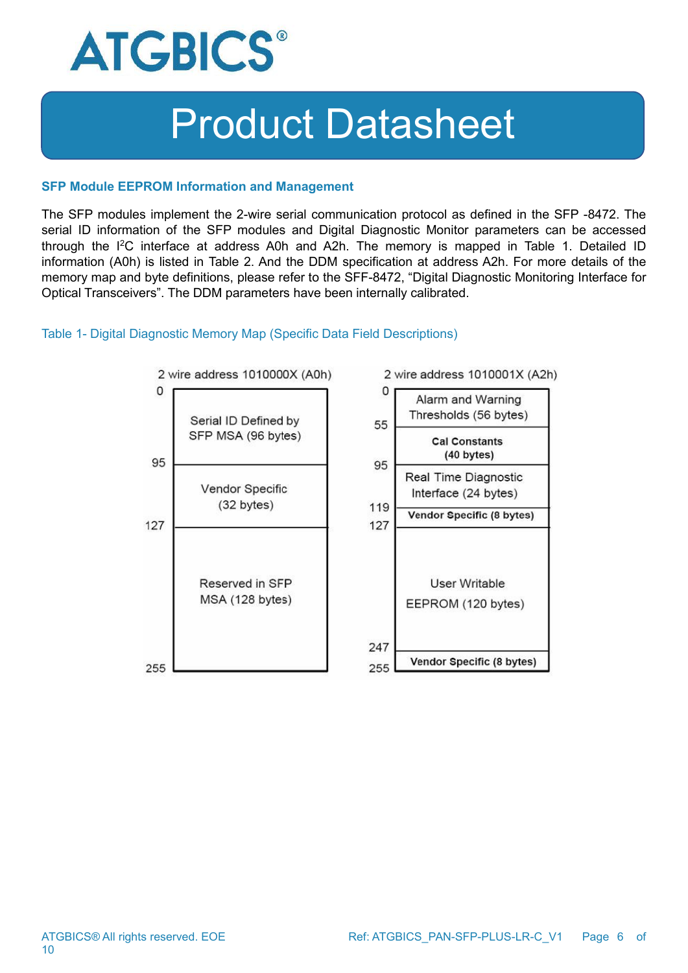

#### **SFP Module EEPROM Information and Management**

The SFP modules implement the 2-wire serial communication protocol as defined in the SFP -8472. The serial ID information of the SFP modules and Digital Diagnostic Monitor parameters can be accessed through the I<sup>2</sup>C interface at address A0h and A2h. The memory is mapped in Table 1. Detailed ID information (A0h) is listed in Table 2. And the DDM specification at address A2h. For more details of the memory map and byte definitions, please refer to the SFF-8472, "Digital Diagnostic Monitoring Interface for Optical Transceivers". The DDM parameters have been internally calibrated.

#### Table 1- Digital Diagnostic Memory Map (Specific Data Field Descriptions)

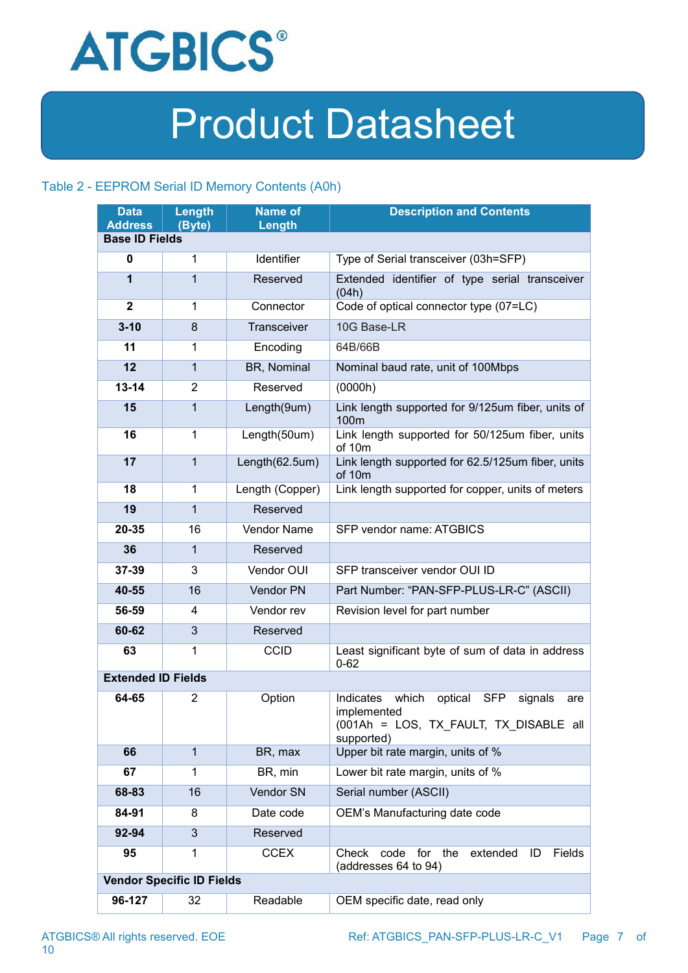

### Table 2 - EEPROM Serial ID Memory Contents (A0h)

| <b>Data</b>                             | Length                           | <b>Name of</b>  | <b>Description and Contents</b>                                                                                                      |  |
|-----------------------------------------|----------------------------------|-----------------|--------------------------------------------------------------------------------------------------------------------------------------|--|
| <b>Address</b><br><b>Base ID Fields</b> | (Byte)                           | Length          |                                                                                                                                      |  |
|                                         |                                  |                 |                                                                                                                                      |  |
| 0                                       | 1                                | Identifier      | Type of Serial transceiver (03h=SFP)                                                                                                 |  |
| 1                                       | 1                                | Reserved        | Extended identifier of type serial transceiver<br>(04h)                                                                              |  |
| $\mathbf 2$                             | 1                                | Connector       | Code of optical connector type (07=LC)                                                                                               |  |
| $3 - 10$                                | 8                                | Transceiver     | 10G Base-LR                                                                                                                          |  |
| 11                                      | 1                                | Encoding        | 64B/66B                                                                                                                              |  |
| 12                                      | $\mathbf{1}$                     | BR, Nominal     | Nominal baud rate, unit of 100Mbps                                                                                                   |  |
| $13 - 14$                               | $\overline{2}$                   | Reserved        | (0000h)                                                                                                                              |  |
| 15                                      | $\mathbf{1}$                     | Length(9um)     | Link length supported for 9/125um fiber, units of<br>100m                                                                            |  |
| 16                                      | 1                                | Length(50um)    | Link length supported for 50/125um fiber, units<br>of 10m                                                                            |  |
| 17                                      | $\mathbf{1}$                     | Length(62.5um)  | Link length supported for 62.5/125um fiber, units<br>of 10m                                                                          |  |
| 18                                      | 1                                | Length (Copper) | Link length supported for copper, units of meters                                                                                    |  |
| 19                                      | $\mathbf{1}$                     | Reserved        |                                                                                                                                      |  |
| 20-35                                   | 16                               | Vendor Name     | SFP vendor name: ATGBICS                                                                                                             |  |
| 36                                      | $\mathbf{1}$                     | Reserved        |                                                                                                                                      |  |
| 37-39                                   | 3                                | Vendor OUI      | SFP transceiver vendor OUI ID                                                                                                        |  |
| 40-55                                   | 16                               | Vendor PN       | Part Number: "PAN-SFP-PLUS-LR-C" (ASCII)                                                                                             |  |
| 56-59                                   | 4                                | Vendor rev      | Revision level for part number                                                                                                       |  |
| 60-62                                   | $\mathfrak{S}$                   | Reserved        |                                                                                                                                      |  |
| 63                                      | 1                                | <b>CCID</b>     | Least significant byte of sum of data in address<br>$0 - 62$                                                                         |  |
| <b>Extended ID Fields</b>               |                                  |                 |                                                                                                                                      |  |
| 64-65                                   | $\overline{2}$                   | Option          | which<br>Indicates<br>optical<br><b>SFP</b><br>signals<br>are<br>implemented<br>(001Ah = LOS, TX FAULT, TX DISABLE all<br>supported) |  |
| 66                                      | $\mathbf{1}$                     | BR, max         | Upper bit rate margin, units of %                                                                                                    |  |
| 67                                      | 1                                | BR, min         | Lower bit rate margin, units of %                                                                                                    |  |
| 68-83                                   | 16                               | Vendor SN       | Serial number (ASCII)                                                                                                                |  |
| 84-91                                   | 8                                | Date code       | OEM's Manufacturing date code                                                                                                        |  |
| 92-94                                   | 3                                | Reserved        |                                                                                                                                      |  |
| 95                                      | 1                                | <b>CCEX</b>     | extended<br>Check code for the<br>Fields<br>ID<br>(addresses 64 to 94)                                                               |  |
|                                         | <b>Vendor Specific ID Fields</b> |                 |                                                                                                                                      |  |
| 96-127                                  | 32                               | Readable        | OEM specific date, read only                                                                                                         |  |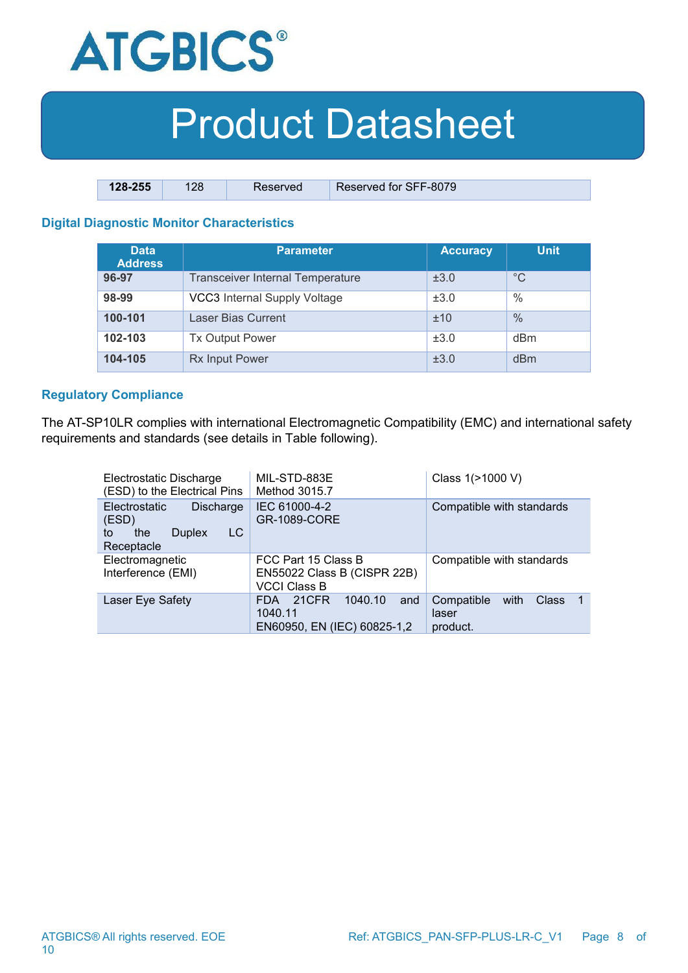

| 128-255 | 128 | Reserved | Reserved for SFF-8079 |
|---------|-----|----------|-----------------------|

### **Digital Diagnostic Monitor Characteristics**

| <b>Data</b><br><b>Address</b> | <b>Parameter</b>                        | <b>Accuracy</b> | <b>Unit</b>   |
|-------------------------------|-----------------------------------------|-----------------|---------------|
| 96-97                         | <b>Transceiver Internal Temperature</b> | ±3.0            | $^{\circ}C$   |
| 98-99                         | VCC3 Internal Supply Voltage            | ±3.0            | $\frac{0}{0}$ |
| 100-101                       | <b>Laser Bias Current</b>               | ±10             | $\frac{0}{0}$ |
| 102-103                       | <b>Tx Output Power</b>                  | ±3.0            | dBm           |
| 104-105                       | <b>Rx Input Power</b>                   | ±3.0            | dBm           |

#### **Regulatory Compliance**

The AT-SP10LR complies with international Electromagnetic Compatibility (EMC) and international safety requirements and standards (see details in Table following).

| Electrostatic Discharge<br>(ESD) to the Electrical Pins                                | MIL-STD-883E<br>Method 3015.7                                             | Class 1(>1000 V)                                                       |  |  |
|----------------------------------------------------------------------------------------|---------------------------------------------------------------------------|------------------------------------------------------------------------|--|--|
| Electrostatic<br>Discharge<br>(ESD)<br>LC.<br><b>Duplex</b><br>the<br>to<br>Receptacle | IEC 61000-4-2<br>GR-1089-CORE                                             | Compatible with standards                                              |  |  |
| Electromagnetic<br>Interference (EMI)                                                  | FCC Part 15 Class B<br>EN55022 Class B (CISPR 22B)<br><b>VCCI Class B</b> | Compatible with standards                                              |  |  |
| Laser Eye Safety                                                                       | 21CFR<br>1040.10<br>and<br>FDA.<br>1040.11<br>EN60950, EN (IEC) 60825-1,2 | Compatible<br>with<br><b>Class</b><br>$\mathbf 1$<br>laser<br>product. |  |  |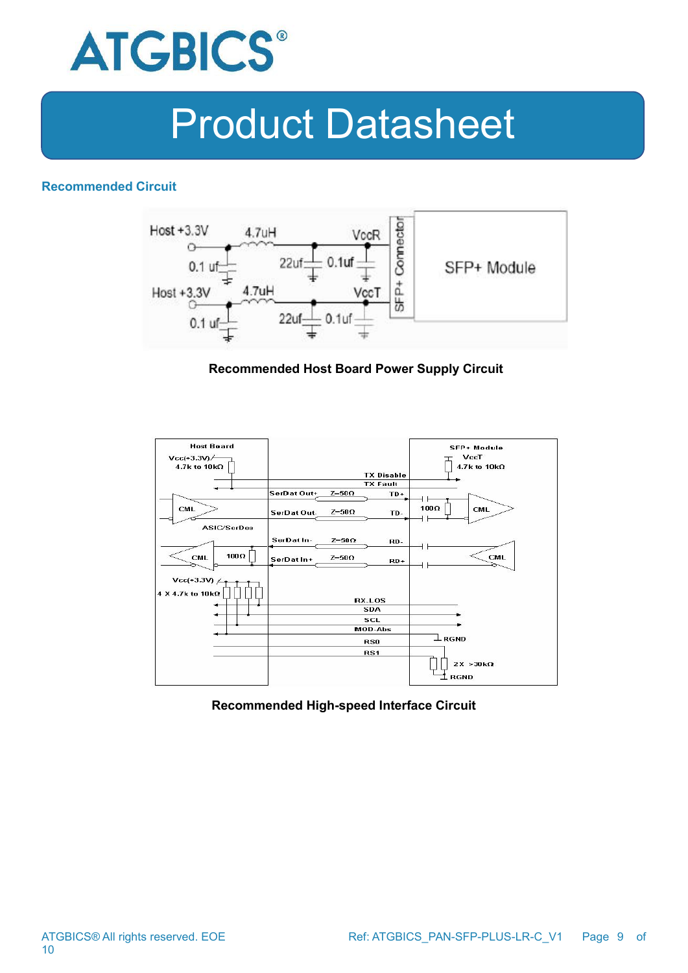

#### **Recommended Circuit**



### **Recommended Host Board Power Supply Circuit**



#### **Recommended High-speed Interface Circuit**